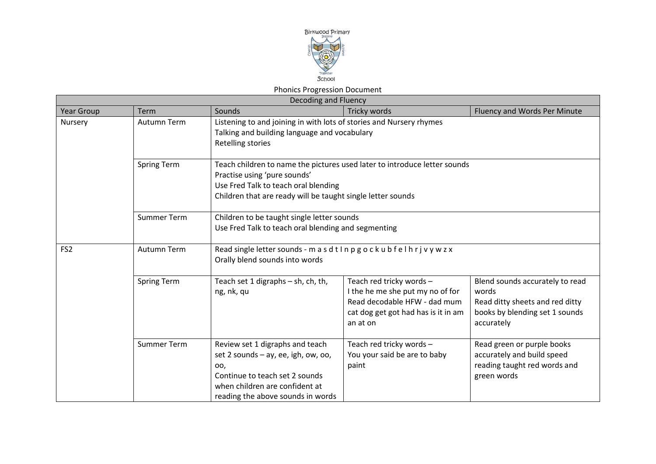

## Phonics Progression Document

| Decoding and Fluency |                    |                                                                                                                                                                                                                  |                                                                                                                                                 |                                                                                                                             |  |  |  |
|----------------------|--------------------|------------------------------------------------------------------------------------------------------------------------------------------------------------------------------------------------------------------|-------------------------------------------------------------------------------------------------------------------------------------------------|-----------------------------------------------------------------------------------------------------------------------------|--|--|--|
| <b>Year Group</b>    | Term               | Sounds                                                                                                                                                                                                           | Tricky words                                                                                                                                    | Fluency and Words Per Minute                                                                                                |  |  |  |
| Nursery              | Autumn Term        | Listening to and joining in with lots of stories and Nursery rhymes<br>Talking and building language and vocabulary<br>Retelling stories                                                                         |                                                                                                                                                 |                                                                                                                             |  |  |  |
|                      | <b>Spring Term</b> | Teach children to name the pictures used later to introduce letter sounds<br>Practise using 'pure sounds'<br>Use Fred Talk to teach oral blending<br>Children that are ready will be taught single letter sounds |                                                                                                                                                 |                                                                                                                             |  |  |  |
|                      | <b>Summer Term</b> | Children to be taught single letter sounds<br>Use Fred Talk to teach oral blending and segmenting                                                                                                                |                                                                                                                                                 |                                                                                                                             |  |  |  |
| FS <sub>2</sub>      | Autumn Term        | Read single letter sounds - m a s d t I n p g o c k u b f e I h r j v y w z x<br>Orally blend sounds into words                                                                                                  |                                                                                                                                                 |                                                                                                                             |  |  |  |
|                      | <b>Spring Term</b> | Teach set 1 digraphs - sh, ch, th,<br>ng, nk, qu                                                                                                                                                                 | Teach red tricky words -<br>I the he me she put my no of for<br>Read decodable HFW - dad mum<br>cat dog get got had has is it in am<br>an at on | Blend sounds accurately to read<br>words<br>Read ditty sheets and red ditty<br>books by blending set 1 sounds<br>accurately |  |  |  |
|                      | <b>Summer Term</b> | Review set 1 digraphs and teach<br>set 2 sounds - ay, ee, igh, ow, oo,<br>OO,<br>Continue to teach set 2 sounds<br>when children are confident at<br>reading the above sounds in words                           | Teach red tricky words -<br>You your said be are to baby<br>paint                                                                               | Read green or purple books<br>accurately and build speed<br>reading taught red words and<br>green words                     |  |  |  |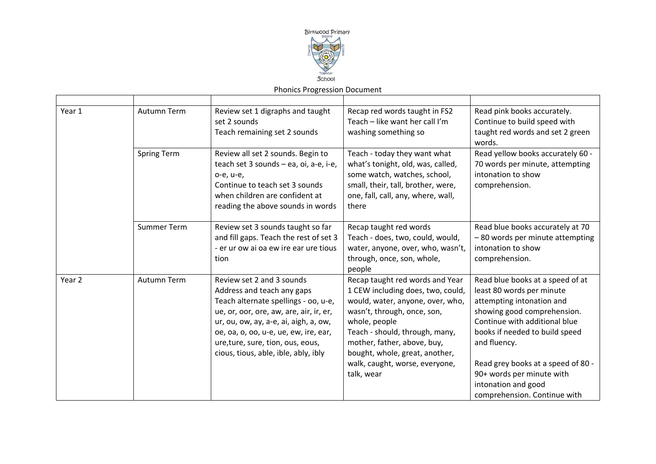

## Phonics Progression Document

| Year 1 | Autumn Term        | Review set 1 digraphs and taught<br>set 2 sounds<br>Teach remaining set 2 sounds                                                                                                                                                                                                                          | Recap red words taught in FS2<br>Teach - like want her call I'm<br>washing something so                                                                                                                                                                                                                     | Read pink books accurately.<br>Continue to build speed with<br>taught red words and set 2 green<br>words.                                                                                                                                                                                                                              |
|--------|--------------------|-----------------------------------------------------------------------------------------------------------------------------------------------------------------------------------------------------------------------------------------------------------------------------------------------------------|-------------------------------------------------------------------------------------------------------------------------------------------------------------------------------------------------------------------------------------------------------------------------------------------------------------|----------------------------------------------------------------------------------------------------------------------------------------------------------------------------------------------------------------------------------------------------------------------------------------------------------------------------------------|
|        | <b>Spring Term</b> | Review all set 2 sounds. Begin to<br>teach set 3 sounds - ea, oi, a-e, i-e,<br>o-e, u-e,<br>Continue to teach set 3 sounds<br>when children are confident at<br>reading the above sounds in words                                                                                                         | Teach - today they want what<br>what's tonight, old, was, called,<br>some watch, watches, school,<br>small, their, tall, brother, were,<br>one, fall, call, any, where, wall,<br>there                                                                                                                      | Read yellow books accurately 60 -<br>70 words per minute, attempting<br>intonation to show<br>comprehension.                                                                                                                                                                                                                           |
|        | Summer Term        | Review set 3 sounds taught so far<br>and fill gaps. Teach the rest of set 3<br>- er ur ow ai oa ew ire ear ure tious<br>tion                                                                                                                                                                              | Recap taught red words<br>Teach - does, two, could, would,<br>water, anyone, over, who, wasn't,<br>through, once, son, whole,<br>people                                                                                                                                                                     | Read blue books accurately at 70<br>-80 words per minute attempting<br>intonation to show<br>comprehension.                                                                                                                                                                                                                            |
| Year 2 | Autumn Term        | Review set 2 and 3 sounds<br>Address and teach any gaps<br>Teach alternate spellings - oo, u-e,<br>ue, or, oor, ore, aw, are, air, ir, er,<br>ur, ou, ow, ay, a-e, ai, aigh, a, ow,<br>oe, oa, o, oo, u-e, ue, ew, ire, ear,<br>ure, ture, sure, tion, ous, eous,<br>cious, tious, able, ible, ably, ibly | Recap taught red words and Year<br>1 CEW including does, two, could,<br>would, water, anyone, over, who,<br>wasn't, through, once, son,<br>whole, people<br>Teach - should, through, many,<br>mother, father, above, buy,<br>bought, whole, great, another,<br>walk, caught, worse, everyone,<br>talk, wear | Read blue books at a speed of at<br>least 80 words per minute<br>attempting intonation and<br>showing good comprehension.<br>Continue with additional blue<br>books if needed to build speed<br>and fluency.<br>Read grey books at a speed of 80 -<br>90+ words per minute with<br>intonation and good<br>comprehension. Continue with |